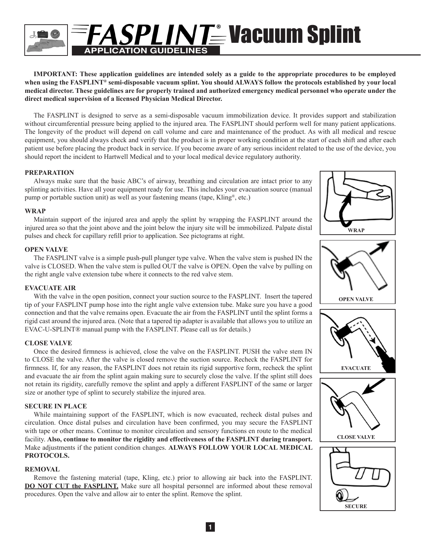

**IMPORTANT: These application guidelines are intended solely as a guide to the appropriate procedures to be employed when using the FASPLINT® semi-disposable vacuum splint. You should ALWAYS follow the protocols established by your local medical director. These guidelines are for properly trained and authorized emergency medical personnel who operate under the direct medical supervision of a licensed Physician Medical Director.**

The FASPLINT is designed to serve as a semi-disposable vacuum immobilization device. It provides support and stabilization without circumferential pressure being applied to the injured area. The FASPLINT should perform well for many patient applications. The longevity of the product will depend on call volume and care and maintenance of the product. As with all medical and rescue equipment, you should always check and verify that the product is in proper working condition at the start of each shift and after each patient use before placing the product back in service. If you become aware of any serious incident related to the use of the device, you should report the incident to Hartwell Medical and to your local medical device regulatory authority.

### **PREPARATION**

Always make sure that the basic ABC's of airway, breathing and circulation are intact prior to any splinting activities. Have all your equipment ready for use. This includes your evacuation source (manual pump or portable suction unit) as well as your fastening means (tape, Kling<sup>®</sup>, etc.)

### **WRAP**

Maintain support of the injured area and apply the splint by wrapping the FASPLINT around the injured area so that the joint above and the joint below the injury site will be immobilized. Palpate distal pulses and check for capillary refill prior to application. See pictograms at right.

### **OPEN VALVE**

The FASPLINT valve is a simple push-pull plunger type valve. When the valve stem is pushed IN the valve is CLOSED. When the valve stem is pulled OUT the valve is OPEN. Open the valve by pulling on the right angle valve extension tube where it connects to the red valve stem.

### **EVACUATE AIR**

With the valve in the open position, connect your suction source to the FASPLINT. Insert the tapered tip of your FASPLINT pump hose into the right angle valve extension tube. Make sure you have a good connection and that the valve remains open. Evacuate the air from the FASPLINT until the splint forms a rigid cast around the injured area. (Note that a tapered tip adapter is available that allows you to utilize an EVAC-U-SPLINT® manual pump with the FASPLINT. Please call us for details.)

### **CLOSE VALVE**

Once the desired firmness is achieved, close the valve on the FASPLINT. PUSH the valve stem IN to CLOSE the valve. After the valve is closed remove the suction source. Recheck the FASPLINT for firmness. If, for any reason, the FASPLINT does not retain its rigid supportive form, recheck the splint and evacuate the air from the splint again making sure to securely close the valve. If the splint still does not retain its rigidity, carefully remove the splint and apply a different FASPLINT of the same or larger size or another type of splint to securely stabilize the injured area.

### **SECURE IN PLACE**

While maintaining support of the FASPLINT, which is now evacuated, recheck distal pulses and circulation. Once distal pulses and circulation have been confirmed, you may secure the FASPLINT with tape or other means. Continue to monitor circulation and sensory functions en route to the medical facility. **Also, continue to monitor the rigidity and effectiveness of the FASPLINT during transport.**  Make adjustments if the patient condition changes. **ALWAYS FOLLOW YOUR LOCAL MEDICAL PROTOCOLS.**

### **REMOVAL**

Remove the fastening material (tape, Kling, etc.) prior to allowing air back into the FASPLINT. **DO NOT CUT the FASPLINT.** Make sure all hospital personnel are informed about these removal procedures. Open the valve and allow air to enter the splint. Remove the splint.